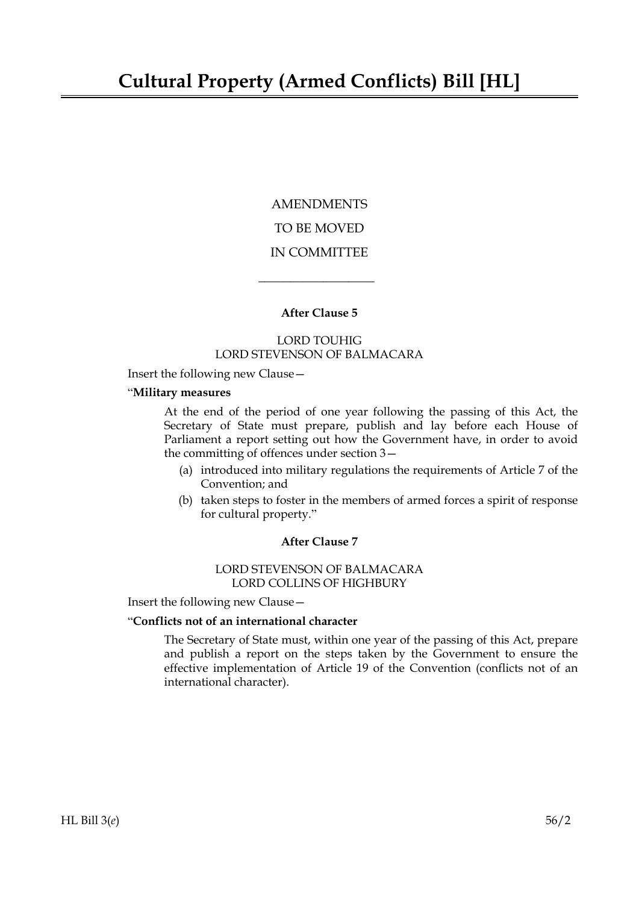**AMENDMENTS** TO BE MOVED IN COMMITTEE

# **After Clause 5**

 $\overline{\phantom{a}}$  , where  $\overline{\phantom{a}}$ 

### LORD TOUHIG LORD STEVENSON OF BALMACARA

Insert the following new Clause—

# "**Military measures**

At the end of the period of one year following the passing of this Act, the Secretary of State must prepare, publish and lay before each House of Parliament a report setting out how the Government have, in order to avoid the committing of offences under section 3—

- (a) introduced into military regulations the requirements of Article 7 of the Convention; and
- (b) taken steps to foster in the members of armed forces a spirit of response for cultural property."

### **After Clause 7**

### LORD STEVENSON OF BALMACARA LORD COLLINS OF HIGHBURY

Insert the following new Clause—

# "**Conflicts not of an international character**

The Secretary of State must, within one year of the passing of this Act, prepare and publish a report on the steps taken by the Government to ensure the effective implementation of Article 19 of the Convention (conflicts not of an international character).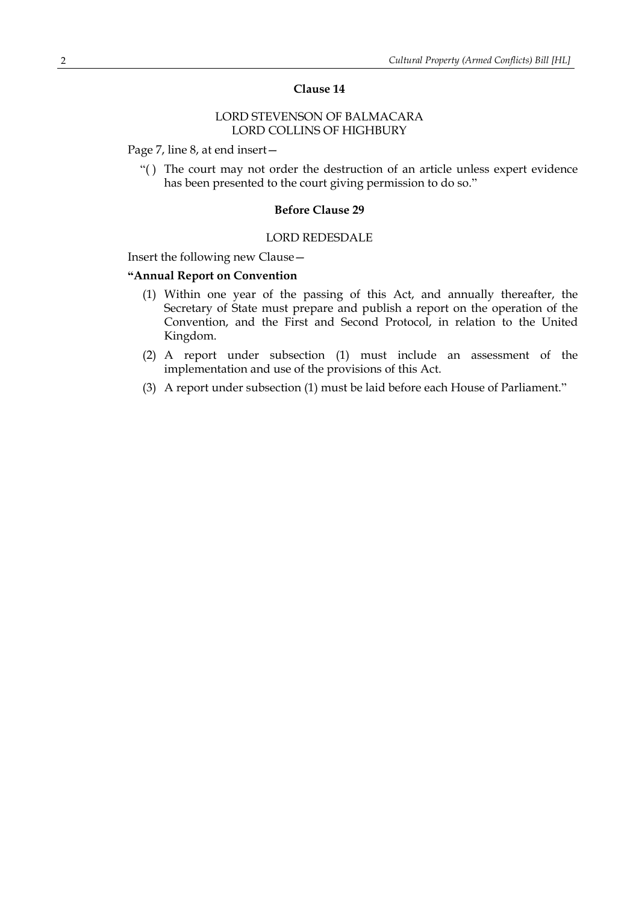### **Clause 14**

# LORD STEVENSON OF BALMACARA LORD COLLINS OF HIGHBURY

Page 7, line 8, at end insert—

"( ) The court may not order the destruction of an article unless expert evidence has been presented to the court giving permission to do so."

#### **Before Clause 29**

#### LORD REDESDALE

Insert the following new Clause—

### **"Annual Report on Convention**

- (1) Within one year of the passing of this Act, and annually thereafter, the Secretary of State must prepare and publish a report on the operation of the Convention, and the First and Second Protocol, in relation to the United Kingdom.
- (2) A report under subsection (1) must include an assessment of the implementation and use of the provisions of this Act.
- (3) A report under subsection (1) must be laid before each House of Parliament."